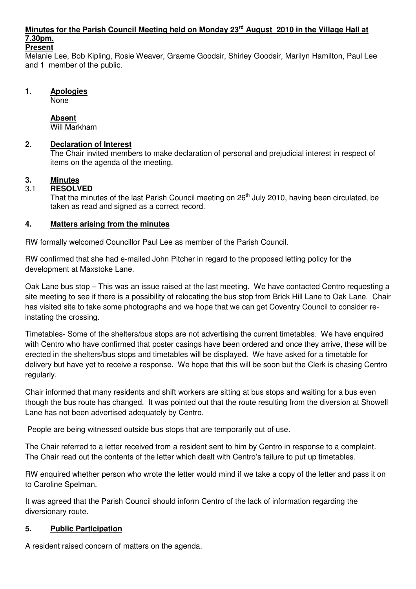# **Minutes for the Parish Council Meeting held on Monday 23rd August 2010 in the Village Hall at 7.30pm.**

#### **Present**

Melanie Lee, Bob Kipling, Rosie Weaver, Graeme Goodsir, Shirley Goodsir, Marilyn Hamilton, Paul Lee and 1 member of the public.

#### **1. Apologies**

None

#### **Absent**

Will Markham

#### **2. Declaration of Interest**

The Chair invited members to make declaration of personal and prejudicial interest in respect of items on the agenda of the meeting.

## **3. Minutes**

#### 3.1 **RESOLVED**

That the minutes of the last Parish Council meeting on 26<sup>th</sup> July 2010, having been circulated, be taken as read and signed as a correct record.

#### **4. Matters arising from the minutes**

RW formally welcomed Councillor Paul Lee as member of the Parish Council.

RW confirmed that she had e-mailed John Pitcher in regard to the proposed letting policy for the development at Maxstoke Lane.

Oak Lane bus stop – This was an issue raised at the last meeting. We have contacted Centro requesting a site meeting to see if there is a possibility of relocating the bus stop from Brick Hill Lane to Oak Lane. Chair has visited site to take some photographs and we hope that we can get Coventry Council to consider reinstating the crossing.

Timetables- Some of the shelters/bus stops are not advertising the current timetables. We have enquired with Centro who have confirmed that poster casings have been ordered and once they arrive, these will be erected in the shelters/bus stops and timetables will be displayed. We have asked for a timetable for delivery but have yet to receive a response. We hope that this will be soon but the Clerk is chasing Centro regularly.

Chair informed that many residents and shift workers are sitting at bus stops and waiting for a bus even though the bus route has changed. It was pointed out that the route resulting from the diversion at Showell Lane has not been advertised adequately by Centro.

People are being witnessed outside bus stops that are temporarily out of use.

The Chair referred to a letter received from a resident sent to him by Centro in response to a complaint. The Chair read out the contents of the letter which dealt with Centro's failure to put up timetables.

RW enquired whether person who wrote the letter would mind if we take a copy of the letter and pass it on to Caroline Spelman.

It was agreed that the Parish Council should inform Centro of the lack of information regarding the diversionary route.

## **5. Public Participation**

A resident raised concern of matters on the agenda.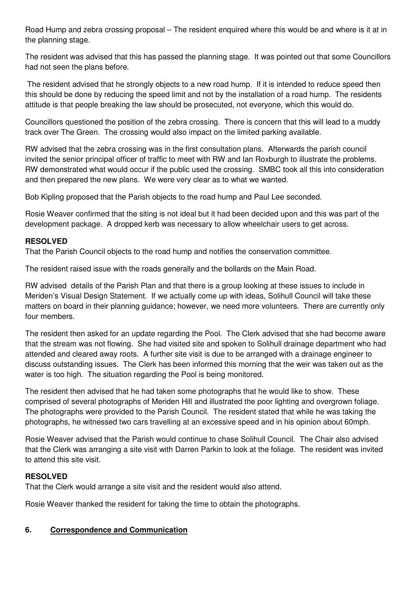Road Hump and zebra crossing proposal – The resident enquired where this would be and where is it at in the planning stage.

The resident was advised that this has passed the planning stage. It was pointed out that some Councillors had not seen the plans before.

 The resident advised that he strongly objects to a new road hump. If it is intended to reduce speed then this should be done by reducing the speed limit and not by the installation of a road hump. The residents attitude is that people breaking the law should be prosecuted, not everyone, which this would do.

Councillors questioned the position of the zebra crossing. There is concern that this will lead to a muddy track over The Green. The crossing would also impact on the limited parking available.

RW advised that the zebra crossing was in the first consultation plans. Afterwards the parish council invited the senior principal officer of traffic to meet with RW and Ian Roxburgh to illustrate the problems. RW demonstrated what would occur if the public used the crossing. SMBC took all this into consideration and then prepared the new plans. We were very clear as to what we wanted.

Bob Kipling proposed that the Parish objects to the road hump and Paul Lee seconded.

Rosie Weaver confirmed that the siting is not ideal but it had been decided upon and this was part of the development package. A dropped kerb was necessary to allow wheelchair users to get across.

## **RESOLVED**

That the Parish Council objects to the road hump and notifies the conservation committee.

The resident raised issue with the roads generally and the bollards on the Main Road.

RW advised details of the Parish Plan and that there is a group looking at these issues to include in Meriden's Visual Design Statement. If we actually come up with ideas, Solihull Council will take these matters on board in their planning guidance; however, we need more volunteers. There are currently only four members.

The resident then asked for an update regarding the Pool. The Clerk advised that she had become aware that the stream was not flowing. She had visited site and spoken to Solihull drainage department who had attended and cleared away roots. A further site visit is due to be arranged with a drainage engineer to discuss outstanding issues. The Clerk has been informed this morning that the weir was taken out as the water is too high. The situation regarding the Pool is being monitored.

The resident then advised that he had taken some photographs that he would like to show. These comprised of several photographs of Meriden Hill and illustrated the poor lighting and overgrown foliage. The photographs were provided to the Parish Council. The resident stated that while he was taking the photographs, he witnessed two cars travelling at an excessive speed and in his opinion about 60mph.

Rosie Weaver advised that the Parish would continue to chase Solihull Council. The Chair also advised that the Clerk was arranging a site visit with Darren Parkin to look at the foliage. The resident was invited to attend this site visit.

## **RESOLVED**

That the Clerk would arrange a site visit and the resident would also attend.

Rosie Weaver thanked the resident for taking the time to obtain the photographs.

## **6. Correspondence and Communication**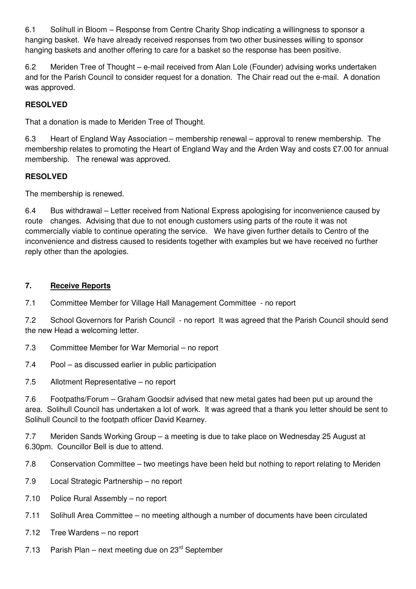6.1 Solihull in Bloom – Response from Centre Charity Shop indicating a willingness to sponsor a hanging basket. We have already received responses from two other businesses willing to sponsor hanging baskets and another offering to care for a basket so the response has been positive.

6.2 Meriden Tree of Thought – e-mail received from Alan Lole (Founder) advising works undertaken and for the Parish Council to consider request for a donation. The Chair read out the e-mail. A donation was approved.

## **RESOLVED**

That a donation is made to Meriden Tree of Thought.

6.3 Heart of England Way Association – membership renewal – approval to renew membership. The membership relates to promoting the Heart of England Way and the Arden Way and costs £7.00 for annual membership. The renewal was approved.

## **RESOLVED**

The membership is renewed.

6.4 Bus withdrawal – Letter received from National Express apologising for inconvenience caused by route changes. Advising that due to not enough customers using parts of the route it was not commercially viable to continue operating the service. We have given further details to Centro of the inconvenience and distress caused to residents together with examples but we have received no further reply other than the apologies.

#### **7. Receive Reports**

7.1 Committee Member for Village Hall Management Committee - no report

7.2 School Governors for Parish Council - no report It was agreed that the Parish Council should send the new Head a welcoming letter.

- 7.3 Committee Member for War Memorial no report
- 7.4 Pool as discussed earlier in public participation
- 7.5 Allotment Representative no report

7.6 Footpaths/Forum – Graham Goodsir advised that new metal gates had been put up around the area. Solihull Council has undertaken a lot of work. It was agreed that a thank you letter should be sent to Solihull Council to the footpath officer David Kearney.

7.7 Meriden Sands Working Group – a meeting is due to take place on Wednesday 25 August at 6.30pm. Councillor Bell is due to attend.

7.8 Conservation Committee – two meetings have been held but nothing to report relating to Meriden

- 7.9 Local Strategic Partnership no report
- 7.10 Police Rural Assembly no report
- 7.11 Solihull Area Committee no meeting although a number of documents have been circulated
- 7.12 Tree Wardens no report
- 7.13 Parish Plan next meeting due on  $23<sup>rd</sup>$  September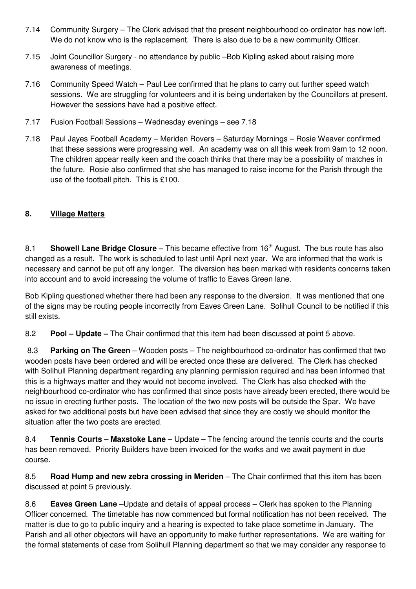- 7.14 Community Surgery The Clerk advised that the present neighbourhood co-ordinator has now left. We do not know who is the replacement. There is also due to be a new community Officer.
- 7.15 Joint Councillor Surgery no attendance by public –Bob Kipling asked about raising more awareness of meetings.
- 7.16 Community Speed Watch Paul Lee confirmed that he plans to carry out further speed watch sessions. We are struggling for volunteers and it is being undertaken by the Councillors at present. However the sessions have had a positive effect.
- 7.17 Fusion Football Sessions Wednesday evenings see 7.18
- 7.18 Paul Jayes Football Academy Meriden Rovers Saturday Mornings Rosie Weaver confirmed that these sessions were progressing well. An academy was on all this week from 9am to 12 noon. The children appear really keen and the coach thinks that there may be a possibility of matches in the future. Rosie also confirmed that she has managed to raise income for the Parish through the use of the football pitch. This is £100.

## **8. Village Matters**

8.1 **Showell Lane Bridge Closure –** This became effective from 16<sup>th</sup> August. The bus route has also changed as a result. The work is scheduled to last until April next year. We are informed that the work is necessary and cannot be put off any longer. The diversion has been marked with residents concerns taken into account and to avoid increasing the volume of traffic to Eaves Green lane.

Bob Kipling questioned whether there had been any response to the diversion. It was mentioned that one of the signs may be routing people incorrectly from Eaves Green Lane. Solihull Council to be notified if this still exists.

8.2 **Pool – Update –** The Chair confirmed that this item had been discussed at point 5 above.

 8.3 **Parking on The Green** – Wooden posts – The neighbourhood co-ordinator has confirmed that two wooden posts have been ordered and will be erected once these are delivered. The Clerk has checked with Solihull Planning department regarding any planning permission required and has been informed that this is a highways matter and they would not become involved. The Clerk has also checked with the neighbourhood co-ordinator who has confirmed that since posts have already been erected, there would be no issue in erecting further posts. The location of the two new posts will be outside the Spar. We have asked for two additional posts but have been advised that since they are costly we should monitor the situation after the two posts are erected.

8.4 **Tennis Courts – Maxstoke Lane** – Update – The fencing around the tennis courts and the courts has been removed. Priority Builders have been invoiced for the works and we await payment in due course.

8.5 **Road Hump and new zebra crossing in Meriden** – The Chair confirmed that this item has been discussed at point 5 previously.

8.6 **Eaves Green Lane** –Update and details of appeal process – Clerk has spoken to the Planning Officer concerned. The timetable has now commenced but formal notification has not been received. The matter is due to go to public inquiry and a hearing is expected to take place sometime in January. The Parish and all other objectors will have an opportunity to make further representations. We are waiting for the formal statements of case from Solihull Planning department so that we may consider any response to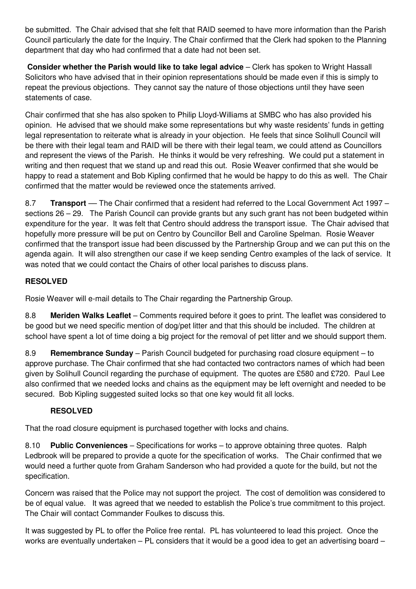be submitted. The Chair advised that she felt that RAID seemed to have more information than the Parish Council particularly the date for the Inquiry. The Chair confirmed that the Clerk had spoken to the Planning department that day who had confirmed that a date had not been set.

**Consider whether the Parish would like to take legal advice** – Clerk has spoken to Wright Hassall Solicitors who have advised that in their opinion representations should be made even if this is simply to repeat the previous objections. They cannot say the nature of those objections until they have seen statements of case.

Chair confirmed that she has also spoken to Philip Lloyd-Williams at SMBC who has also provided his opinion. He advised that we should make some representations but why waste residents' funds in getting legal representation to reiterate what is already in your objection. He feels that since Solihull Council will be there with their legal team and RAID will be there with their legal team, we could attend as Councillors and represent the views of the Parish. He thinks it would be very refreshing. We could put a statement in writing and then request that we stand up and read this out. Rosie Weaver confirmed that she would be happy to read a statement and Bob Kipling confirmed that he would be happy to do this as well. The Chair confirmed that the matter would be reviewed once the statements arrived.

8.7 **Transport** — The Chair confirmed that a resident had referred to the Local Government Act 1997 – sections 26 – 29. The Parish Council can provide grants but any such grant has not been budgeted within expenditure for the year. It was felt that Centro should address the transport issue. The Chair advised that hopefully more pressure will be put on Centro by Councillor Bell and Caroline Spelman. Rosie Weaver confirmed that the transport issue had been discussed by the Partnership Group and we can put this on the agenda again. It will also strengthen our case if we keep sending Centro examples of the lack of service. It was noted that we could contact the Chairs of other local parishes to discuss plans.

## **RESOLVED**

Rosie Weaver will e-mail details to The Chair regarding the Partnership Group.

8.8 **Meriden Walks Leaflet** – Comments required before it goes to print. The leaflet was considered to be good but we need specific mention of dog/pet litter and that this should be included. The children at school have spent a lot of time doing a big project for the removal of pet litter and we should support them.

8.9 **Remembrance Sunday** – Parish Council budgeted for purchasing road closure equipment – to approve purchase. The Chair confirmed that she had contacted two contractors names of which had been given by Solihull Council regarding the purchase of equipment. The quotes are £580 and £720. Paul Lee also confirmed that we needed locks and chains as the equipment may be left overnight and needed to be secured. Bob Kipling suggested suited locks so that one key would fit all locks.

## **RESOLVED**

That the road closure equipment is purchased together with locks and chains.

8.10 **Public Conveniences** – Specifications for works – to approve obtaining three quotes. Ralph Ledbrook will be prepared to provide a quote for the specification of works. The Chair confirmed that we would need a further quote from Graham Sanderson who had provided a quote for the build, but not the specification.

Concern was raised that the Police may not support the project. The cost of demolition was considered to be of equal value. It was agreed that we needed to establish the Police's true commitment to this project. The Chair will contact Commander Foulkes to discuss this.

It was suggested by PL to offer the Police free rental. PL has volunteered to lead this project. Once the works are eventually undertaken – PL considers that it would be a good idea to get an advertising board –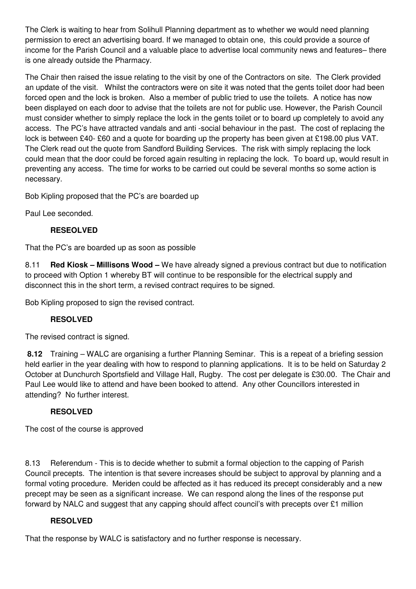The Clerk is waiting to hear from Solihull Planning department as to whether we would need planning permission to erect an advertising board. If we managed to obtain one, this could provide a source of income for the Parish Council and a valuable place to advertise local community news and features– there is one already outside the Pharmacy.

The Chair then raised the issue relating to the visit by one of the Contractors on site. The Clerk provided an update of the visit. Whilst the contractors were on site it was noted that the gents toilet door had been forced open and the lock is broken. Also a member of public tried to use the toilets. A notice has now been displayed on each door to advise that the toilets are not for public use. However, the Parish Council must consider whether to simply replace the lock in the gents toilet or to board up completely to avoid any access. The PC's have attracted vandals and anti -social behaviour in the past. The cost of replacing the lock is between £40- £60 and a quote for boarding up the property has been given at £198.00 plus VAT. The Clerk read out the quote from Sandford Building Services. The risk with simply replacing the lock could mean that the door could be forced again resulting in replacing the lock. To board up, would result in preventing any access. The time for works to be carried out could be several months so some action is necessary.

Bob Kipling proposed that the PC's are boarded up

Paul Lee seconded.

## **RESEOLVED**

That the PC's are boarded up as soon as possible

8.11 **Red Kiosk – Millisons Wood –** We have already signed a previous contract but due to notification to proceed with Option 1 whereby BT will continue to be responsible for the electrical supply and disconnect this in the short term, a revised contract requires to be signed.

Bob Kipling proposed to sign the revised contract.

## **RESOLVED**

The revised contract is signed.

 **8.12** Training – WALC are organising a further Planning Seminar. This is a repeat of a briefing session held earlier in the year dealing with how to respond to planning applications. It is to be held on Saturday 2 October at Dunchurch Sportsfield and Village Hall, Rugby. The cost per delegate is £30.00. The Chair and Paul Lee would like to attend and have been booked to attend. Any other Councillors interested in attending? No further interest.

## **RESOLVED**

The cost of the course is approved

8.13 Referendum - This is to decide whether to submit a formal objection to the capping of Parish Council precepts. The intention is that severe increases should be subject to approval by planning and a formal voting procedure. Meriden could be affected as it has reduced its precept considerably and a new precept may be seen as a significant increase. We can respond along the lines of the response put forward by NALC and suggest that any capping should affect council's with precepts over £1 million

## **RESOLVED**

That the response by WALC is satisfactory and no further response is necessary.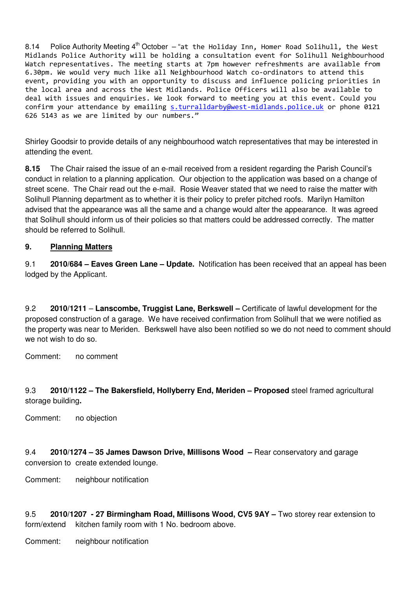8.14 Police Authority Meeting  $4^{th}$  October – "at the Holiday Inn, Homer Road Solihull, the West Midlands Police Authority will be holding a consultation event for Solihull Neighbourhood Watch representatives. The meeting starts at 7pm however refreshments are available from 6.30pm. We would very much like all Neighbourhood Watch co-ordinators to attend this event, providing you with an opportunity to discuss and influence policing priorities in the local area and across the West Midlands. Police Officers will also be available to deal with issues and enquiries. We look forward to meeting you at this event. Could you confirm your attendance by emailing s.turralldarby@west-midlands.police.uk or phone 0121 626 5143 as we are limited by our numbers."

Shirley Goodsir to provide details of any neighbourhood watch representatives that may be interested in attending the event.

**8.15** The Chair raised the issue of an e-mail received from a resident regarding the Parish Council's conduct in relation to a planning application. Our objection to the application was based on a change of street scene. The Chair read out the e-mail. Rosie Weaver stated that we need to raise the matter with Solihull Planning department as to whether it is their policy to prefer pitched roofs. Marilyn Hamilton advised that the appearance was all the same and a change would alter the appearance. It was agreed that Solihull should inform us of their policies so that matters could be addressed correctly. The matter should be referred to Solihull.

#### **9. Planning Matters**

9.1 **2010/684 – Eaves Green Lane – Update.** Notification has been received that an appeal has been lodged by the Applicant.

9.2 **2010/1211** – **Lanscombe, Truggist Lane, Berkswell –** Certificate of lawful development for the proposed construction of a garage. We have received confirmation from Solihull that we were notified as the property was near to Meriden. Berkswell have also been notified so we do not need to comment should we not wish to do so.

Comment: no comment

9.3 **2010/1122 – The Bakersfield, Hollyberry End, Meriden – Proposed** steel framed agricultural storage building**.** 

Comment: no objection

9.4 **2010/1274 – 35 James Dawson Drive, Millisons Wood –** Rear conservatory and garage conversion to create extended lounge.

Comment: neighbour notification

9.5 **2010/1207 - 27 Birmingham Road, Millisons Wood, CV5 9AY –** Two storey rear extension to form/extend kitchen family room with 1 No. bedroom above.

Comment: neighbour notification